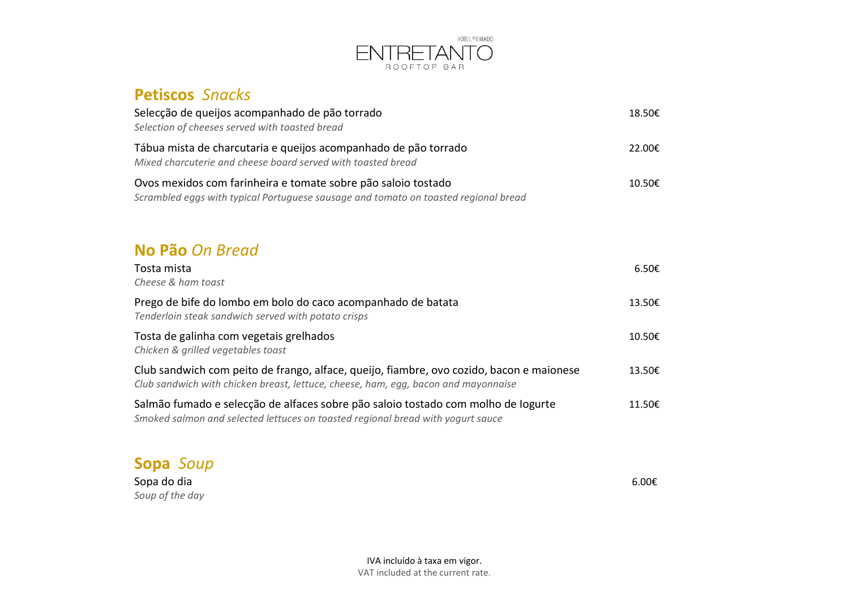

#### **Petiscos** *Snacks*

| Selecção de queijos acompanhado de pão torrado<br>Selection of cheeses served with toasted bread                                                                               | 18.50€ |
|--------------------------------------------------------------------------------------------------------------------------------------------------------------------------------|--------|
| Tábua mista de charcutaria e queijos acompanhado de pão torrado<br>Mixed charcuterie and cheese board served with toasted bread                                                | 22.00€ |
| Ovos mexidos com farinheira e tomate sobre pão saloio tostado<br>Scrambled eggs with typical Portuguese sausage and tomato on toasted regional bread                           | 10.50€ |
| No Pão On Bread                                                                                                                                                                |        |
| Tosta mista<br>Cheese & ham toast                                                                                                                                              | 6.506  |
| Prego de bife do lombo em bolo do caco acompanhado de batata<br>Tenderloin steak sandwich served with potato crisps                                                            | 13.50€ |
| Tosta de galinha com vegetais grelhados<br>Chicken & grilled vegetables toast                                                                                                  | 10.50€ |
| Club sandwich com peito de frango, alface, queijo, fiambre, ovo cozido, bacon e maionese<br>Club sandwich with chicken breast, lettuce, cheese, ham, egg, bacon and mayonnaise | 13.50€ |
| Salmão fumado e selecção de alfaces sobre pão saloio tostado com molho de logurte<br>Smoked salmon and selected lettuces on toasted regional bread with yogurt sauce           | 11.50€ |
|                                                                                                                                                                                |        |

## **Sopa** *Soup*

Sopa do dia 6.00€ *Soup of the day*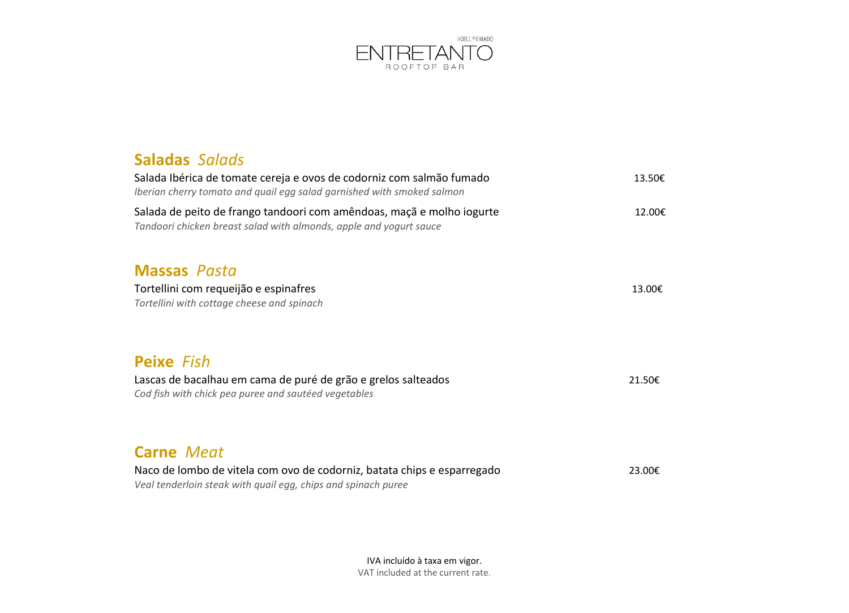

# **Saladas** *Salads* Salada Ibérica de tomate cereja e ovos de codorniz com salmão fumado 13.50€ *Iberian cherry tomato and quail egg salad garnished with smoked salmon*  Salada de peito de frango tandoori com amêndoas, maçã e molho iogurte  $12.00 \in$ *Tandoori chicken breast salad with almonds, apple and yogurt sauce* **Massas** *Pasta* Tortellini com requeijão e espinafres  $13.00€$ *Tortellini with cottage cheese and spinach* **Peixe** *Fish* Lascas de bacalhau em cama de puré de grão e grelos salteados 21.50€ *Cod fish with chick pea puree and sautéed vegetables* **Carne** *Meat* Naco de lombo de vitela com ovo de codorniz, batata chips e esparregado 23.00€ *Veal tenderloin steak with quail egg, chips and spinach puree*

IVA incluído à taxa em vigor. VAT included at the current rate.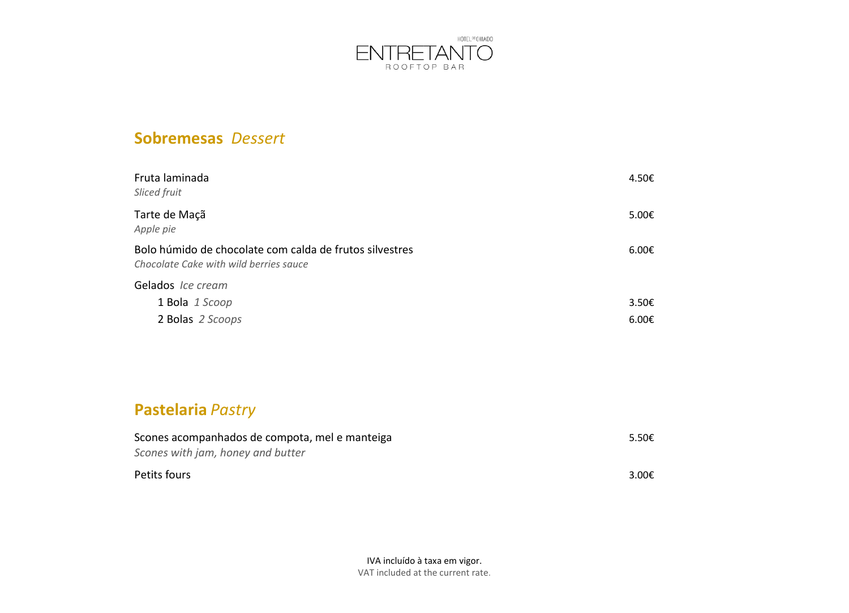

### **Sobremesas** *Dessert*

| Fruta laminada<br>Sliced fruit                                                                    | 4.50€             |
|---------------------------------------------------------------------------------------------------|-------------------|
| Tarte de Maçã<br>Apple pie                                                                        | $5.00 \epsilon$   |
| Bolo húmido de chocolate com calda de frutos silvestres<br>Chocolate Cake with wild berries sauce | $6.00 \epsilon$   |
| Gelados Ice cream                                                                                 |                   |
| 1 Bola 1 Scoop                                                                                    | 3.50 <sub>£</sub> |
| 2 Bolas 2 Scoops                                                                                  | $6.00 \epsilon$   |

### **Pastelaria** *Pastry*

| Scones acompanhados de compota, mel e manteiga | 5.50€ |
|------------------------------------------------|-------|
| Scones with jam, honey and butter              |       |
| Petits fours                                   | 3.00€ |